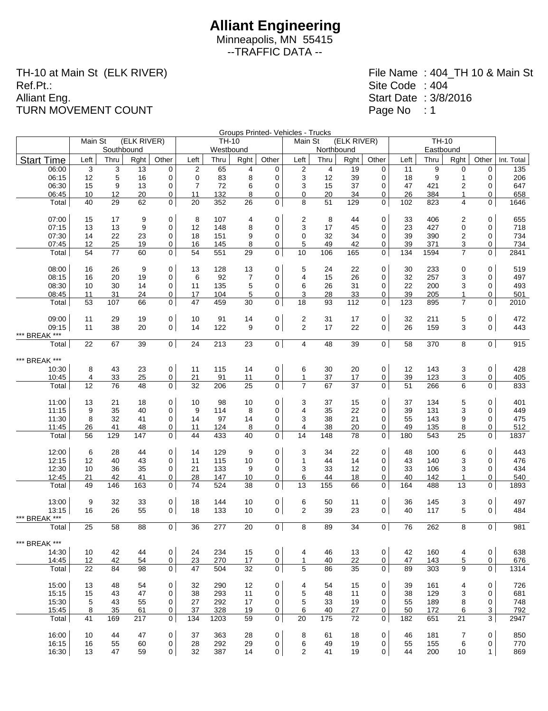Minneapolis, MN 55415 --TRAFFIC DATA --

TH-10 at Main St (ELK RIVER) Ref.Pt.: Alliant Eng. TURN MOVEMENT COUNT

|                        |                 |            |             |                |                |              |      |                     | Groups Printed- Vehicles - Trucks |            |             |                |      | TH-10     |                 |                |            |
|------------------------|-----------------|------------|-------------|----------------|----------------|--------------|------|---------------------|-----------------------------------|------------|-------------|----------------|------|-----------|-----------------|----------------|------------|
|                        | Main St         |            | (ELK RIVER) |                |                | <b>TH-10</b> |      |                     | Main St                           |            | (ELK RIVER) |                |      |           |                 |                |            |
|                        |                 | Southbound |             |                |                | Westbound    |      |                     |                                   | Northbound |             |                |      | Eastbound |                 |                |            |
| <b>Start Time</b>      | Left            | Thru       | Rght        | Other          | Left           | Thru         | Rght | Other               | Left                              | Thru       | Rght        | Other          | Left | Thru      | Rght            | Other          | Int. Total |
| 06:00                  | 3               | 3          | 13          | 0              | $\overline{2}$ | 65           | 4    | 0                   | $\overline{c}$                    | 4          | 19          | 0              | 11   | 9         | 0               | 0              | 135        |
| 06:15                  | 12              | 5          | 16          | 0              | 0              | 83           | 8    | 0                   | 3                                 | 12         | 39          | 0              | 18   | 9         | 1               | 0              | 206        |
| 06:30                  | 15              | 9          | 13          | 0              | $\overline{7}$ | 72           | 6    | 0                   | 3                                 | 15         | 37          | 0              | 47   | 421       | 2               | 0              | 647        |
| 06:45                  | 10              | 12         | 20          | 0              | 11             | 132          | 8    | 0                   | 0                                 | 20         | 34          | 0              | 26   | 384       | 1               | 0              | 658        |
| Total                  | 40              | 29         | 62          | 0              | 20             | 352          | 26   | $\mathbf 0$         | 8                                 | 51         | 129         | 0              | 102  | 823       | 4               | 0              | 1646       |
| 07:00                  | 15              | 17         | 9           | 0              | 8              | 107          | 4    | 0                   | 2                                 | 8          | 44          | 0              | 33   | 406       | 2               | 0              | 655        |
| 07:15                  | 13              | 13         | 9           | 0              | 12             | 148          | 8    | 0                   | 3                                 | 17         | 45          | 0              | 23   | 427       | 0               | 0              | 718        |
| 07:30                  | 14              | 22         | 23          | 0              | 18             | 151          | 9    | $\mathbf 0$         | $\mathbf 0$                       | 32         | 34          | 0              | 39   | 390       | 2               | 0              | 734        |
| 07:45                  | 12              | 25         | 19          | 0              | 16             | 145          | 8    | 0                   | 5                                 | 49         | 42          | 0              | 39   | 371       | 3               | 0              | 734        |
| Total                  | 54              | 77         | 60          | 0              | 54             | 551          | 29   | $\mathbf 0$         | 10                                | 106        | 165         | 0              | 134  | 1594      | $\overline{7}$  | 0              | 2841       |
| 08:00                  | 16              | 26         | 9           | $\mathbf 0$    | 13             | 128          | 13   | 0                   | 5                                 | 24         | 22          | 0              | 30   | 233       | $\mathbf 0$     | 0              | 519        |
| 08:15                  | 16              | 20         | 19          | 0              | 6              | 92           | 7    | 0                   | 4                                 | 15         | 26          | 0              | 32   | 257       | 3               | 0              | 497        |
| 08:30                  | 10              | 30         | 14          | 0              | 11             | 135          | 5    | 0                   | 6                                 | 26         | 31          | 0              | 22   | 200       | 3               | 0              | 493        |
| 08:45                  | 11              | 31         | 24          | 0              | 17             | 104          | 5    | 0                   | 3                                 | 28         | 33          | 0              | 39   | 205       | 1               | 0              | 501        |
| Total                  | 53              | 107        | 66          | 0              | 47             | 459          | 30   | 0                   | 18                                | 93         | 112         | 0              | 123  | 895       | $\overline{7}$  | 0              | 2010       |
| 09:00                  | 11              | 29         | 19          | 0              | 10             | 91           | 14   | 0                   | $\overline{\mathbf{c}}$           | 31         | 17          | $\mathbf 0$    | 32   | 211       | 5               | 0              | 472        |
| 09:15                  | 11              | 38         | 20          | $\overline{0}$ | 14             | 122          | 9    | 0                   | $\overline{2}$                    | 17         | 22          | $\mathbf 0$    | 26   | 159       | 3               | $\mathbf 0$    | 443        |
| *** BREAK ***          |                 |            |             |                |                |              |      |                     |                                   |            |             |                |      |           |                 |                |            |
| Total                  | 22              | 67         | 39          | $\mathbf 0$    | 24             | 213          | 23   | $\overline{0}$      | 4                                 | 48         | 39          | $\overline{0}$ | 58   | 370       | 8               | $\overline{0}$ | 915        |
| *** BREAK ***          |                 |            |             |                |                |              |      |                     |                                   |            |             |                |      |           |                 |                |            |
| 10:30                  | 8               | 43         | 23          | $\mathbf 0$    | 11             | 115          | 14   | $\mathsf{O}\xspace$ | 6                                 | 30         | 20          | $\mathbf 0$    | 12   | 143       | 3               | 0              | 428        |
| 10:45                  | 4               | 33         | 25          | $\overline{0}$ | 21             | 91           | 11   | 0                   | $\mathbf{1}$                      | 37         | 17          | 0              | 39   | 123       | 3               | 0              | 405        |
| Total                  | 12              | 76         | 48          | 0              | 32             | 206          | 25   | 0                   | $\overline{7}$                    | 67         | 37          | 0              | 51   | 266       | 6               | 0              | 833        |
| 11:00                  | 13              | 21         | 18          | 0              | 10             | 98           | 10   | $\mathbf 0$         | 3                                 | 37         | 15          | 0              | 37   | 134       | 5               | 0              | 401        |
| 11:15                  | 9               | 35         | 40          | 0              | 9              | 114          | 8    | 0                   | 4                                 | 35         | 22          | 0              | 39   | 131       | 3               | 0              | 449        |
| 11:30                  | 8               | 32         | 41          | 0              | 14             | 97           | 14   | 0                   | 3                                 | 38         | 21          | 0              | 55   | 143       | 9               | 0              | 475        |
| 11:45                  | 26              | 41         | 48          | 0              | 11             | 124          | 8    | 0                   | 4                                 | 38         | 20          | 0              | 49   | 135       | 8               | 0              | 512        |
| Total                  | 56              | 129        | 147         | 0              | 44             | 433          | 40   | $\mathbf 0$         | 14                                | 148        | 78          | 0              | 180  | 543       | 25              | 0              | 1837       |
|                        |                 |            |             |                |                |              |      |                     |                                   |            |             |                |      |           |                 |                |            |
| 12:00                  | 6               | 28         | 44          | 0              | 14             | 129          | 9    | 0                   | 3                                 | 34         | 22          | 0              | 48   | 100       | 6               | 0              | 443        |
| 12:15                  | 12              | 40         | 43          | $\mathbf 0$    | 11             | 115          | 10   | 0                   | $\mathbf{1}$                      | 44         | 14          | 0              | 43   | 140       | 3               | 0              | 476        |
| 12:30                  | 10              | 36         | 35          | 0              | 21             | 133          | 9    | 0                   | 3                                 | 33         | 12          | 0              | 33   | 106       | 3               | 0              | 434        |
| 12:45                  | 21              | 42         | 41          | 0              | 28             | 147          | 10   | 0                   | 6                                 | 44         | 18          | 0              | 40   | 142       | 1               | 0              | 540        |
| Total                  | 49              | 146        | 163         | 0              | 74             | 524          | 38   | 0                   | 13                                | 155        | 66          | 0              | 164  | 488       | 13              | 0              | 1893       |
| 13:00                  | 9               | 32         | 33          | $\pmb{0}$      | 18             | 144          | 10   | 0                   | 6                                 | 50         | 11          | 0              | 36   | 145       | 3               | 0              | 497        |
| 13:15<br>*** BREAK *** | 16              | 26         | 55          | $\mathbf 0$    | 18             | 133          | 10   | 0                   | $\overline{2}$                    | 39         | 23          | $\mathbf 0$    | 40   | 117       | 5               | $\mathbf 0$    | 484        |
| Total                  | 25              | 58         | 88          | $\mathbf 0$    | 36             | 277          | 20   | $\mathbf 0$         | 8                                 | 89         | 34          | 0 <sup>1</sup> | 76   | 262       | 8               | $\mathbf 0$    | 981        |
| *** BREAK ***          |                 |            |             |                |                |              |      |                     |                                   |            |             |                |      |           |                 |                |            |
| 14:30                  | 10              | 42         | 44          | 0              | 24             | 234          | 15   | $\mathsf{O}\xspace$ | 4                                 | 46         | 13          | 0              | 42   | 160       | 4               | $\mathbf 0$    | 638        |
| 14:45                  | 12 <sup>°</sup> | 42         | 54          | $\overline{0}$ | 23             | 270          | 17   | $\mathbf 0$         | $\mathbf{1}$                      | 40         | 22          | 0              | 47   | 143       | $5\overline{)}$ | 0              | 676        |
| Total                  | 22              | 84         | 98          | 0              | 47             | 504          | 32   | $\mathbf 0$         | 5                                 | 86         | 35          | 0 <sup>1</sup> | 89   | 303       | 9               | 0              | 1314       |
|                        |                 |            |             |                |                |              |      |                     |                                   |            |             |                |      |           |                 |                |            |
| 15:00                  | 13              | 48         | 54          | 0              | 32             | 290          | 12   | 0                   | 4                                 | 54         | 15          | 0              | 39   | 161       | 4               | 0              | 726        |
| 15:15                  | 15              | 43         | 47          | 0              | 38             | 293          | 11   | $\mathbf 0$         | 5                                 | 48         | 11          | 0              | 38   | 129       | 3               | 0              | 681        |
| 15:30                  | 5               | 43         | 55          | 0              | 27             | 292          | 17   | 0                   | 5                                 | 33         | 19          | 0              | 55   | 189       | 8               | 0              | 748        |
| 15:45                  | 8               | 35         | 61          | 0              | 37             | 328          | 19   | 0                   | 6                                 | 40         | 27          | 0              | 50   | 172       | 6               | $\overline{3}$ | <u>792</u> |
| Total                  | 41              | 169        | 217         | 0              | 134            | 1203         | 59   | $\mathbf 0$         | 20                                | 175        | 72          | 0              | 182  | 651       | 21              | 3              | 2947       |
| 16:00                  | 10              | 44         | 47          | 0              | 37             | 363          | 28   | $\mathbf 0$         | 8                                 | 61         | 18          | $\mathbf 0$    | 46   | 181       | 7               | 0              | 850        |
| 16:15                  | 16              | 55         | 60          | $\mathbf 0$    | 28             | 292          | 29   | $\mathbf 0$         | 6                                 | 49         | 19          | 0              | 55   | 155       | 6               | 0              | 770        |
| 16:30                  | 13              | 47         | 59          | 0              | 32             | 387          | 14   | 0                   | $\overline{2}$                    | 41         | 19          | 0              | 44   | 200       | 10              | $\mathbf{1}$   | 869        |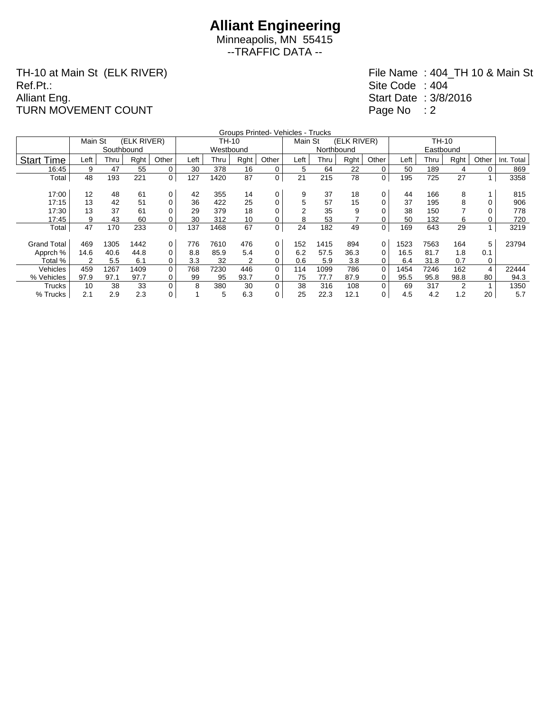## **Alliant Engineering**

Minneapolis, MN 55415 --TRAFFIC DATA --

TH-10 at Main St (ELK RIVER) Ref.Pt.: Alliant Eng. TURN MOVEMENT COUNT

|                    | Main St | Groups Printed- Vehicles - Trucks<br>TH-10 |             |       |      |           |      |          |         |            |             |          |      |      |      |          |            |
|--------------------|---------|--------------------------------------------|-------------|-------|------|-----------|------|----------|---------|------------|-------------|----------|------|------|------|----------|------------|
|                    |         |                                            | (ELK RIVER) |       |      | TH-10     |      |          | Main St |            | (ELK RIVER) |          |      |      |      |          |            |
|                    |         | Southbound                                 |             |       |      | Westbound |      |          |         | Northbound |             |          |      |      |      |          |            |
| <b>Start Time</b>  | Left    | Thru                                       | Rght        | Other | Left | Thru      | Rght | Other    | Left    | Thru       | Rght        | Other    | Left | Thru | Rght | Other    | Int. Total |
| 16:45              | 9       | 47                                         | 55          | 0     | 30   | 378       | 16   | 0        | 5       | 64         | 22          | 0        | 50   | 189  | 4    | 0        | 869        |
| Total              | 48      | 193                                        | 221         | 0     | 127  | 1420      | 87   | 0        | 21      | 215        | 78          | 0        | 195  | 725  | 27   |          | 3358       |
|                    |         |                                            |             |       |      |           |      |          |         |            |             |          |      |      |      |          |            |
| 17:00              | 12      | 48                                         | 61          | 0     | 42   | 355       | 14   | 0        | 9       | 37         | 18          | 0        | 44   | 166  | 8    |          | 815        |
| 17:15              | 13      | 42                                         | 51          | 0     | 36   | 422       | 25   | 0        | 5       | 57         | 15          |          | 37   | 195  | 8    |          | 906        |
| 17:30              | 13      | 37                                         | 61          | 0     | 29   | 379       | 18   | 0        |         | 35         | 9           |          | 38   | 150  |      |          | 778        |
| 17:45              | 9       | 43                                         | 60          | 0     | 30   | 312       | 10   |          | 8       | 53         |             |          | 50   | 132  | 6    |          | 720        |
| Total              | 47      | 170                                        | 233         | 0     | 137  | 1468      | 67   | 0        | 24      | 182        | 49          | 0        | 169  | 643  | 29   |          | 3219       |
|                    |         |                                            |             |       |      |           |      |          |         |            |             |          |      |      |      |          |            |
| <b>Grand Total</b> | 469     | 1305                                       | 1442        | 0     | 776  | 7610      | 476  | 0        | 152     | 1415       | 894         | 0        | 1523 | 7563 | 164  | 5        | 23794      |
| Apprch %           | 14.6    | 40.6                                       | 44.8        | 0     | 8.8  | 85.9      | 5.4  | $\Omega$ | 6.2     | 57.5       | 36.3        | 0        | 16.5 | 81.7 | 1.8  | 0.1      |            |
| Total %            | 2       | 5.5                                        | 6.1         | 0     | 3.3  | 32        | 2    | 0        | 0.6     | 5.9        | 3.8         | 0        | 6.4  | 31.8 | 0.7  | $\Omega$ |            |
| Vehicles           | 459     | 1267                                       | 1409        | 0     | 768  | 7230      | 446  | 0        | 114     | 1099       | 786         | $\Omega$ | 1454 | 7246 | 162  | 4        | 22444      |
| % Vehicles         | 97.9    | 97.1                                       | 97.7        | 0     | 99   | 95        | 93.7 | 0        | 75      | 77.7       | 87.9        | 0        | 95.5 | 95.8 | 98.8 | 80       | 94.3       |
| <b>Trucks</b>      | 10      | 38                                         | 33          | 0     | 8    | 380       | 30   | $\Omega$ | 38      | 316        | 108         | $\Omega$ | 69   | 317  | 2    |          | 1350       |
| % Trucks           | 2.1     | 2.9                                        | 2.3         | 0     |      | 5         | 6.3  | 0        | 25      | 22.3       | 12.1        | 0        | 4.5  | 4.2  | 1.2  | 20       | 5.7        |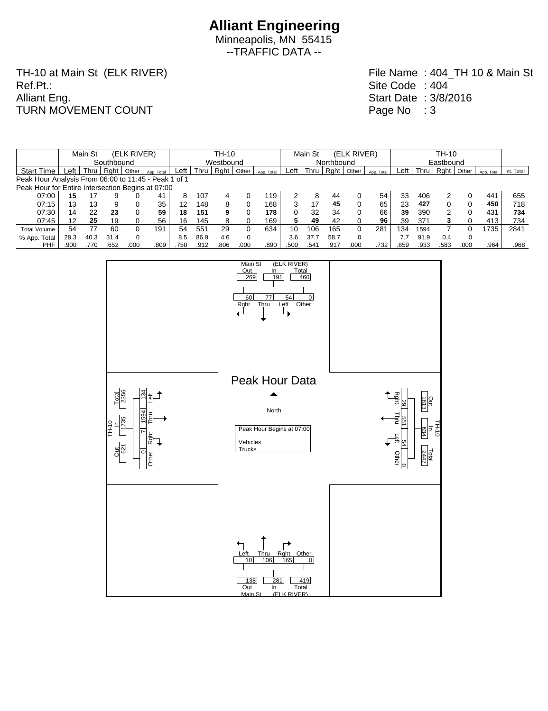Minneapolis, MN 55415 --TRAFFIC DATA --

TH-10 at Main St (ELK RIVER) Ref.Pt.: Alliant Eng. TURN MOVEMENT COUNT

|                                                      |            | Main St |      | (ELK RIVER) |            | TH-10 |           |      |       |            |      |      | Main St<br>(ELK RIVER) |       |            |      |      | TH-10 |              |            |            |  |  |  |
|------------------------------------------------------|------------|---------|------|-------------|------------|-------|-----------|------|-------|------------|------|------|------------------------|-------|------------|------|------|-------|--------------|------------|------------|--|--|--|
|                                                      | Southbound |         |      |             |            |       | Westbound |      |       |            |      |      | Northbound             |       |            |      |      |       | Eastbound    |            |            |  |  |  |
| <b>Start Time</b>                                    | _eft       | Thru    | Raht | Other       | App. Total | Left  | Thru      | Rght | Other | App. Total | ∟eft | Thru | $RQ$ nt                | Other | App. Total | Left | Thru | Raht  | Other        | App. Total | Int. Total |  |  |  |
| Peak Hour Analysis From 06:00 to 11:45 - Peak 1 of 1 |            |         |      |             |            |       |           |      |       |            |      |      |                        |       |            |      |      |       |              |            |            |  |  |  |
| Peak Hour for Entire Intersection Begins at 07:00    |            |         |      |             |            |       |           |      |       |            |      |      |                        |       |            |      |      |       |              |            |            |  |  |  |
| 07:00                                                | 15         |         |      |             | 41         | 8     | 107       | 4    |       | 119        |      | 8    | 44                     |       | 54         | 33   | 406  |       |              | 441        | 655        |  |  |  |
| 07:15                                                | 13         | 13      | 9    |             | 35         | 12    | 148       | 8    |       | 168        |      |      | 45                     |       | 65         | 23   | 427  |       | 0            | 450        | 718        |  |  |  |
| 07:30                                                | 14         | 22      | 23   |             | 59         | 18    | 151       | 9    |       | 178        |      | 32   | 34                     |       | 66         | 39   | 390  |       | 0            | 431        | 734        |  |  |  |
| 07:45                                                | 12         | 25      | 19   |             | 56         | 16    | 145       |      |       | 169        |      | 49   | 42                     |       | 96         | 39   | 371  |       | <sup>0</sup> | 413        | 734        |  |  |  |
| <b>Total Volume</b>                                  | 54         | 77      | 60   |             | 191        | 54    | 551       | 29   | 0     | 634        | 10   | 106  | 165                    | 0     | 281        | 134  | 1594 |       |              | 1735       | 2841       |  |  |  |
| % App. Total                                         | 28.3       | 40.3    | 31.4 |             |            | 8.5   | 86.9      | 4.6  | 0     |            | 3.6  | 37.7 | 58.7                   | 0     |            | 7.7  | 91.9 | 0.4   | $\Omega$     |            |            |  |  |  |
| <b>PHF</b>                                           | .900       | 770     | .652 | .000        | .809       | .750  | .912      | .806 | .000  | .890       | .500 | .541 | .917                   | .000  | .732       | .859 | .933 | .583  | .000         | .964       | .968       |  |  |  |